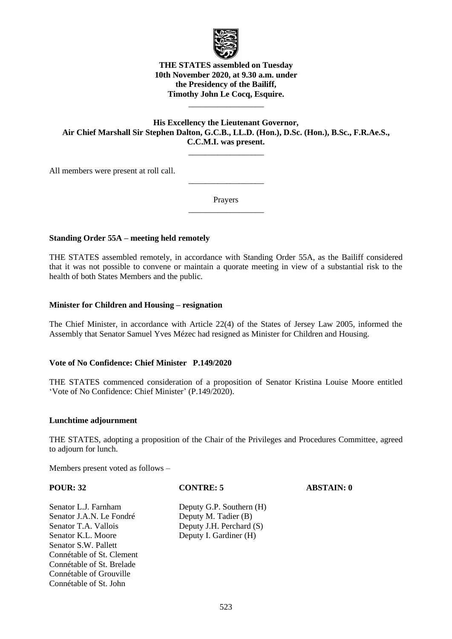

# **THE STATES assembled on Tuesday 10th November 2020, at 9.30 a.m. under the Presidency of the Bailiff, Timothy John Le Cocq, Esquire.**

# **His Excellency the Lieutenant Governor, Air Chief Marshall Sir Stephen Dalton, G.C.B., LL.D. (Hon.), D.Sc. (Hon.), B.Sc., F.R.Ae.S., C.C.M.I. was present.**

 $\overline{\phantom{a}}$  , where  $\overline{\phantom{a}}$ 

\_\_\_\_\_\_\_\_\_\_\_\_\_\_\_\_\_\_

All members were present at roll call.

Prayers  $\overline{\phantom{a}}$  , where  $\overline{\phantom{a}}$ 

 $\overline{\phantom{a}}$  , where  $\overline{\phantom{a}}$ 

# **Standing Order 55A – meeting held remotely**

THE STATES assembled remotely, in accordance with Standing Order 55A, as the Bailiff considered that it was not possible to convene or maintain a quorate meeting in view of a substantial risk to the health of both States Members and the public.

## **Minister for Children and Housing – resignation**

The Chief Minister, in accordance with Article 22(4) of the States of Jersey Law 2005, informed the Assembly that Senator Samuel Yves Mézec had resigned as Minister for Children and Housing.

## **Vote of No Confidence: Chief Minister P.149/2020**

THE STATES commenced consideration of a proposition of Senator Kristina Louise Moore entitled 'Vote of No Confidence: Chief Minister' (P.149/2020).

### **Lunchtime adjournment**

THE STATES, adopting a proposition of the Chair of the Privileges and Procedures Committee, agreed to adjourn for lunch.

Members present voted as follows –

**POUR: 32 CONTRE: 5 ABSTAIN: 0**

Senator J.A.N. Le Fondré Deputy M. Tadier (B) Senator T.A. Vallois Deputy J.H. Perchard (S) Senator K.L. Moore Deputy I. Gardiner (H) Senator S.W. Pallett Connétable of St. Clement Connétable of St. Brelade Connétable of Grouville Connétable of St. John

Senator L.J. Farnham Deputy G.P. Southern (H)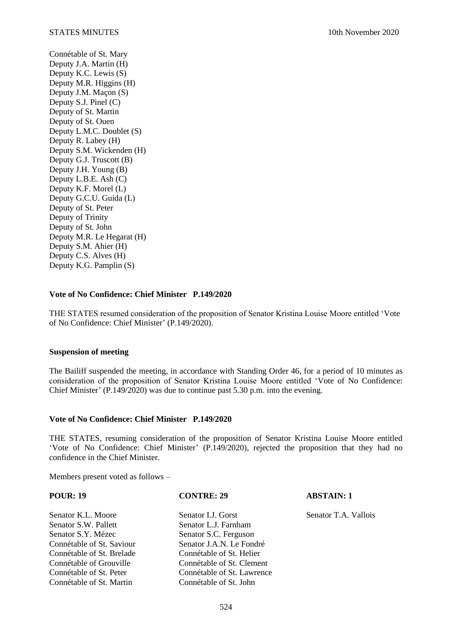Connétable of St. Mary Deputy J.A. Martin (H) Deputy K.C. Lewis (S) Deputy M.R. Higgins (H) Deputy J.M. Maçon (S) Deputy S.J. Pinel (C) Deputy of St. Martin Deputy of St. Ouen Deputy L.M.C. Doublet (S) Deputy R. Labey (H) Deputy S.M. Wickenden (H) Deputy G.J. Truscott (B) Deputy J.H. Young (B) Deputy L.B.E. Ash (C) Deputy K.F. Morel (L) Deputy G.C.U. Guida (L) Deputy of St. Peter Deputy of Trinity Deputy of St. John Deputy M.R. Le Hegarat (H) Deputy S.M. Ahier (H) Deputy C.S. Alves (H) Deputy K.G. Pamplin (S)

## **Vote of No Confidence: Chief Minister P.149/2020**

THE STATES resumed consideration of the proposition of Senator Kristina Louise Moore entitled 'Vote of No Confidence: Chief Minister' (P.149/2020).

### **Suspension of meeting**

The Bailiff suspended the meeting, in accordance with Standing Order 46, for a period of 10 minutes as consideration of the proposition of Senator Kristina Louise Moore entitled 'Vote of No Confidence: Chief Minister' (P.149/2020) was due to continue past 5.30 p.m. into the evening.

## **Vote of No Confidence: Chief Minister P.149/2020**

THE STATES, resuming consideration of the proposition of Senator Kristina Louise Moore entitled 'Vote of No Confidence: Chief Minister' (P.149/2020), rejected the proposition that they had no confidence in the Chief Minister.

Members present voted as follows –

## **POUR: 19 CONTRE: 29 ABSTAIN: 1**

Senator K.L. Moore Senator I.J. Gorst Senator T.A. Vallois Senator S.W. Pallett Senator L.J. Farnham Senator S.Y. Mézec Senator S.C. Ferguson Connétable of St. Saviour<br>
Connétable of St. Brelade<br>
Connétable of St. Helier Connétable of St. Brelade Connétable of Grouville Connétable of St. Clement Connétable of St. Peter Connétable of St. Lawrence Connétable of St. Martin Connétable of St. John